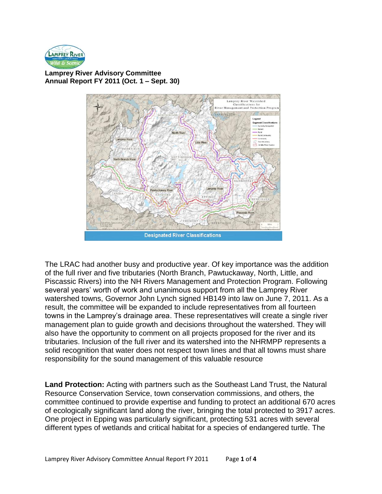

**Lamprey River Advisory Committee Annual Report FY 2011 (Oct. 1 – Sept. 30)**



The LRAC had another busy and productive year. Of key importance was the addition of the full river and five tributaries (North Branch, Pawtuckaway, North, Little, and Piscassic Rivers) into the NH Rivers Management and Protection Program. Following several years' worth of work and unanimous support from all the Lamprey River watershed towns, Governor John Lynch signed HB149 into law on June 7, 2011. As a result, the committee will be expanded to include representatives from all fourteen towns in the Lamprey's drainage area. These representatives will create a single river management plan to guide growth and decisions throughout the watershed. They will also have the opportunity to comment on all projects proposed for the river and its tributaries. Inclusion of the full river and its watershed into the NHRMPP represents a solid recognition that water does not respect town lines and that all towns must share responsibility for the sound management of this valuable resource

**Land Protection:** Acting with partners such as the Southeast Land Trust, the Natural Resource Conservation Service, town conservation commissions, and others, the committee continued to provide expertise and funding to protect an additional 670 acres of ecologically significant land along the river, bringing the total protected to 3917 acres. One project in Epping was particularly significant, protecting 531 acres with several different types of wetlands and critical habitat for a species of endangered turtle. The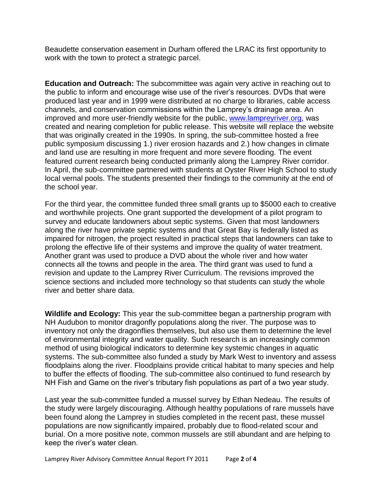Beaudette conservation easement in Durham offered the LRAC its first opportunity to work with the town to protect a strategic parcel.

**Education and Outreach:** The subcommittee was again very active in reaching out to the public to inform and encourage wise use of the river's resources. DVDs that were produced last year and in 1999 were distributed at no charge to libraries, cable access channels, and conservation commissions within the Lamprey's drainage area. An improved and more user-friendly website for the public, [www.lampreyriver.org,](http://www.lampreyriver.org/) was created and nearing completion for public release. This website will replace the website that was originally created in the 1990s. In spring, the sub-committee hosted a free public symposium discussing 1.) river erosion hazards and 2.) how changes in climate and land use are resulting in more frequent and more severe flooding. The event featured current research being conducted primarily along the Lamprey River corridor. In April, the sub-committee partnered with students at Oyster River High School to study local vernal pools. The students presented their findings to the community at the end of the school year.

For the third year, the committee funded three small grants up to \$5000 each to creative and worthwhile projects. One grant supported the development of a pilot program to survey and educate landowners about septic systems. Given that most landowners along the river have private septic systems and that Great Bay is federally listed as impaired for nitrogen, the project resulted in practical steps that landowners can take to prolong the effective life of their systems and improve the quality of water treatment. Another grant was used to produce a DVD about the whole river and how water connects all the towns and people in the area. The third grant was used to fund a revision and update to the Lamprey River Curriculum. The revisions improved the science sections and included more technology so that students can study the whole river and better share data.

**Wildlife and Ecology:** This year the sub-committee began a partnership program with NH Audubon to monitor dragonfly populations along the river. The purpose was to inventory not only the dragonflies themselves, but also use them to determine the level of environmental integrity and water quality. Such research is an increasingly common method of using biological indicators to determine key systemic changes in aquatic systems. The sub-committee also funded a study by Mark West to inventory and assess floodplains along the river. Floodplains provide critical habitat to many species and help to buffer the effects of flooding. The sub-committee also continued to fund research by NH Fish and Game on the river's tributary fish populations as part of a two year study.

Last year the sub-committee funded a mussel survey by Ethan Nedeau. The results of the study were largely discouraging. Although healthy populations of rare mussels have been found along the Lamprey in studies completed in the recent past, these mussel populations are now significantly impaired, probably due to flood-related scour and burial. On a more positive note, common mussels are still abundant and are helping to keep the river's water clean.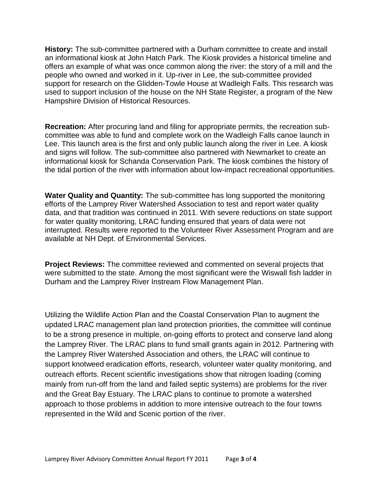**History:** The sub-committee partnered with a Durham committee to create and install an informational kiosk at John Hatch Park. The Kiosk provides a historical timeline and offers an example of what was once common along the river: the story of a mill and the people who owned and worked in it. Up-river in Lee, the sub-committee provided support for research on the Glidden-Towle House at Wadleigh Falls. This research was used to support inclusion of the house on the NH State Register, a program of the New Hampshire Division of Historical Resources.

**Recreation:** After procuring land and filing for appropriate permits, the recreation subcommittee was able to fund and complete work on the Wadleigh Falls canoe launch in Lee. This launch area is the first and only public launch along the river in Lee. A kiosk and signs will follow. The sub-committee also partnered with Newmarket to create an informational kiosk for Schanda Conservation Park. The kiosk combines the history of the tidal portion of the river with information about low-impact recreational opportunities.

**Water Quality and Quantity:** The sub-committee has long supported the monitoring efforts of the Lamprey River Watershed Association to test and report water quality data, and that tradition was continued in 2011. With severe reductions on state support for water quality monitoring, LRAC funding ensured that years of data were not interrupted. Results were reported to the Volunteer River Assessment Program and are available at NH Dept. of Environmental Services.

**Project Reviews:** The committee reviewed and commented on several projects that were submitted to the state. Among the most significant were the Wiswall fish ladder in Durham and the Lamprey River Instream Flow Management Plan.

Utilizing the Wildlife Action Plan and the Coastal Conservation Plan to augment the updated LRAC management plan land protection priorities, the committee will continue to be a strong presence in multiple, on-going efforts to protect and conserve land along the Lamprey River. The LRAC plans to fund small grants again in 2012. Partnering with the Lamprey River Watershed Association and others, the LRAC will continue to support knotweed eradication efforts, research, volunteer water quality monitoring, and outreach efforts. Recent scientific investigations show that nitrogen loading (coming mainly from run-off from the land and failed septic systems) are problems for the river and the Great Bay Estuary. The LRAC plans to continue to promote a watershed approach to those problems in addition to more intensive outreach to the four towns represented in the Wild and Scenic portion of the river.